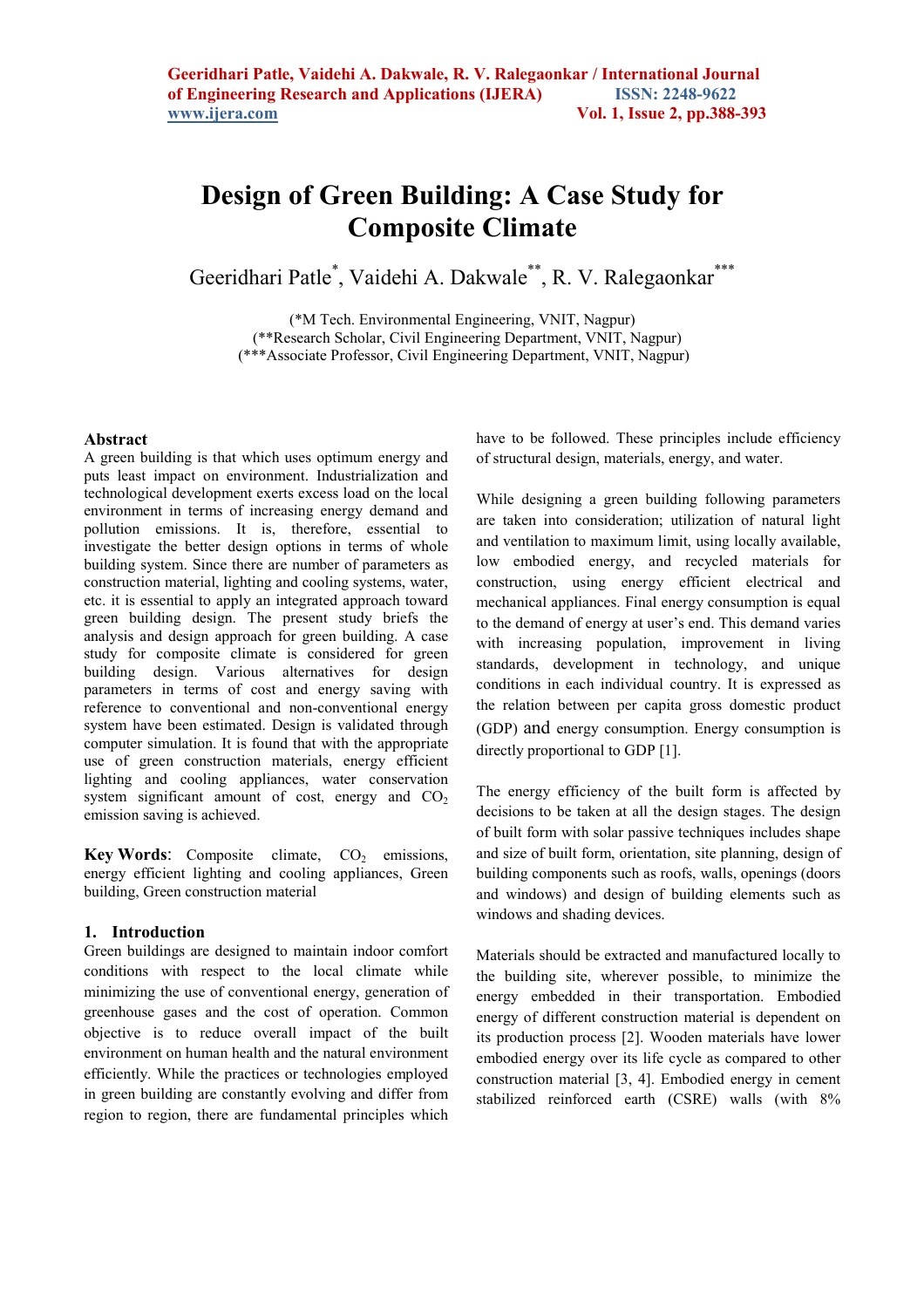# **Design of Green Building: A Case Study for Composite Climate**

Geeridhari Patle<sup>\*</sup>, Vaidehi A. Dakwale<sup>\*\*</sup>, R. V. Ralegaonkar<sup>\*\*\*</sup>

(\*M Tech. Environmental Engineering, VNIT, Nagpur) (\*\*Research Scholar, Civil Engineering Department, VNIT, Nagpur) (\*\*\*Associate Professor, Civil Engineering Department, VNIT, Nagpur)

#### **Abstract**

A green building is that which uses optimum energy and puts least impact on environment. Industrialization and technological development exerts excess load on the local environment in terms of increasing energy demand and pollution emissions. It is, therefore, essential to investigate the better design options in terms of whole building system. Since there are number of parameters as construction material, lighting and cooling systems, water, etc. it is essential to apply an integrated approach toward green building design. The present study briefs the analysis and design approach for green building. A case study for composite climate is considered for green building design. Various alternatives for design parameters in terms of cost and energy saving with reference to conventional and non-conventional energy system have been estimated. Design is validated through computer simulation. It is found that with the appropriate use of green construction materials, energy efficient lighting and cooling appliances, water conservation system significant amount of cost, energy and  $CO<sub>2</sub>$ emission saving is achieved.

**Key Words**: Composite climate,  $CO<sub>2</sub>$  emissions, energy efficient lighting and cooling appliances, Green building, Green construction material

#### **1. Introduction**

Green buildings are designed to maintain indoor comfort conditions with respect to the local climate while minimizing the use of conventional energy, generation of greenhouse gases and the cost of operation. Common objective is to reduce overall impact of the built environment on human health and the natural environment efficiently. While the practices or technologies employed in green building are constantly evolving and differ from region to region, there are fundamental principles which

have to be followed. These principles include efficiency of structural design, materials, energy, and water.

While designing a green building following parameters are taken into consideration; utilization of natural light and ventilation to maximum limit, using locally available, low embodied energy, and recycled materials for construction, using energy efficient electrical and mechanical appliances. Final energy consumption is equal to the demand of energy at user's end. This demand varies with increasing population, improvement in living standards, development in technology, and unique conditions in each individual country. It is expressed as the relation between per capita gross domestic product (GDP) and energy consumption. Energy consumption is directly proportional to GDP [1].

The energy efficiency of the built form is affected by decisions to be taken at all the design stages. The design of built form with solar passive techniques includes shape and size of built form, orientation, site planning, design of building components such as roofs, walls, openings (doors and windows) and design of building elements such as windows and shading devices.

Materials should be extracted and manufactured locally to the building site, wherever possible, to minimize the energy embedded in their transportation. Embodied energy of different construction material is dependent on its production process [2]. Wooden materials have lower embodied energy over its life cycle as compared to other construction material [3, 4]. Embodied energy in cement stabilized reinforced earth (CSRE) walls (with 8%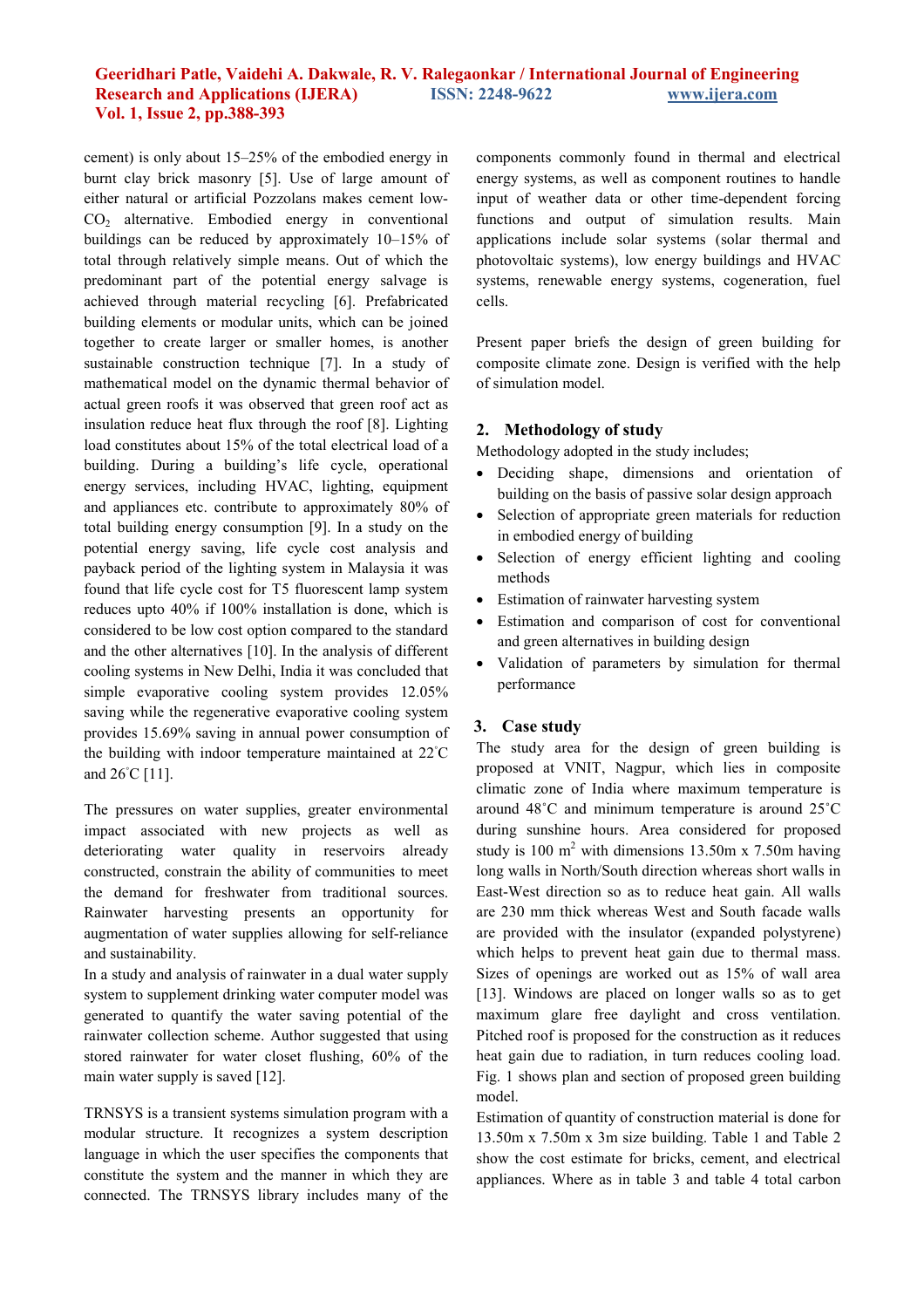## **Geeridhari Patle, Vaidehi A. Dakwale, R. V. Ralegaonkar / International Journal of Engineering Research and Applications (IJERA) ISSN: 2248-9622 www.ijera.com Vol. 1, Issue 2, pp.388-393**

cement) is only about 15–25% of the embodied energy in burnt clay brick masonry [5]. Use of large amount of either natural or artificial Pozzolans makes cement low-CO2 alternative. Embodied energy in conventional buildings can be reduced by approximately 10–15% of total through relatively simple means. Out of which the predominant part of the potential energy salvage is achieved through material recycling [6]. Prefabricated building elements or modular units, which can be joined together to create larger or smaller homes, is another sustainable construction technique [7]. In a study of mathematical model on the dynamic thermal behavior of actual green roofs it was observed that green roof act as insulation reduce heat flux through the roof [8]. Lighting load constitutes about 15% of the total electrical load of a building. During a building's life cycle, operational energy services, including HVAC, lighting, equipment and appliances etc. contribute to approximately 80% of total building energy consumption [9]. In a study on the potential energy saving, life cycle cost analysis and payback period of the lighting system in Malaysia it was found that life cycle cost for T5 fluorescent lamp system reduces upto 40% if 100% installation is done, which is considered to be low cost option compared to the standard and the other alternatives [10]. In the analysis of different cooling systems in New Delhi, India it was concluded that simple evaporative cooling system provides 12.05% saving while the regenerative evaporative cooling system provides 15.69% saving in annual power consumption of the building with indoor temperature maintained at 22◦C and 26◦C [11].

The pressures on water supplies, greater environmental impact associated with new projects as well as deteriorating water quality in reservoirs already constructed, constrain the ability of communities to meet the demand for freshwater from traditional sources. Rainwater harvesting presents an opportunity for augmentation of water supplies allowing for self-reliance and sustainability.

In a study and analysis of rainwater in a dual water supply system to supplement drinking water computer model was generated to quantify the water saving potential of the rainwater collection scheme. Author suggested that using stored rainwater for water closet flushing, 60% of the main water supply is saved [12].

TRNSYS is a transient systems simulation program with a modular structure. It recognizes a system description language in which the user specifies the components that constitute the system and the manner in which they are connected. The TRNSYS library includes many of the components commonly found in thermal and electrical energy systems, as well as component routines to handle input of weather data or other time-dependent forcing functions and output of simulation results. Main applications include solar systems (solar thermal and photovoltaic systems), low energy buildings and HVAC systems, renewable energy systems, cogeneration, fuel cells.

Present paper briefs the design of green building for composite climate zone. Design is verified with the help of simulation model.

# **2. Methodology of study**

Methodology adopted in the study includes;

- Deciding shape, dimensions and orientation of building on the basis of passive solar design approach
- Selection of appropriate green materials for reduction in embodied energy of building
- Selection of energy efficient lighting and cooling methods
- Estimation of rainwater harvesting system
- Estimation and comparison of cost for conventional and green alternatives in building design
- Validation of parameters by simulation for thermal performance

# **3. Case study**

The study area for the design of green building is proposed at VNIT, Nagpur, which lies in composite climatic zone of India where maximum temperature is around 48˚C and minimum temperature is around 25˚C during sunshine hours. Area considered for proposed study is 100  $m^2$  with dimensions 13.50m x 7.50m having long walls in North/South direction whereas short walls in East-West direction so as to reduce heat gain. All walls are 230 mm thick whereas West and South facade walls are provided with the insulator (expanded polystyrene) which helps to prevent heat gain due to thermal mass. Sizes of openings are worked out as 15% of wall area [13]. Windows are placed on longer walls so as to get maximum glare free daylight and cross ventilation. Pitched roof is proposed for the construction as it reduces heat gain due to radiation, in turn reduces cooling load. Fig. 1 shows plan and section of proposed green building model.

Estimation of quantity of construction material is done for 13.50m x 7.50m x 3m size building. Table 1 and Table 2 show the cost estimate for bricks, cement, and electrical appliances. Where as in table 3 and table 4 total carbon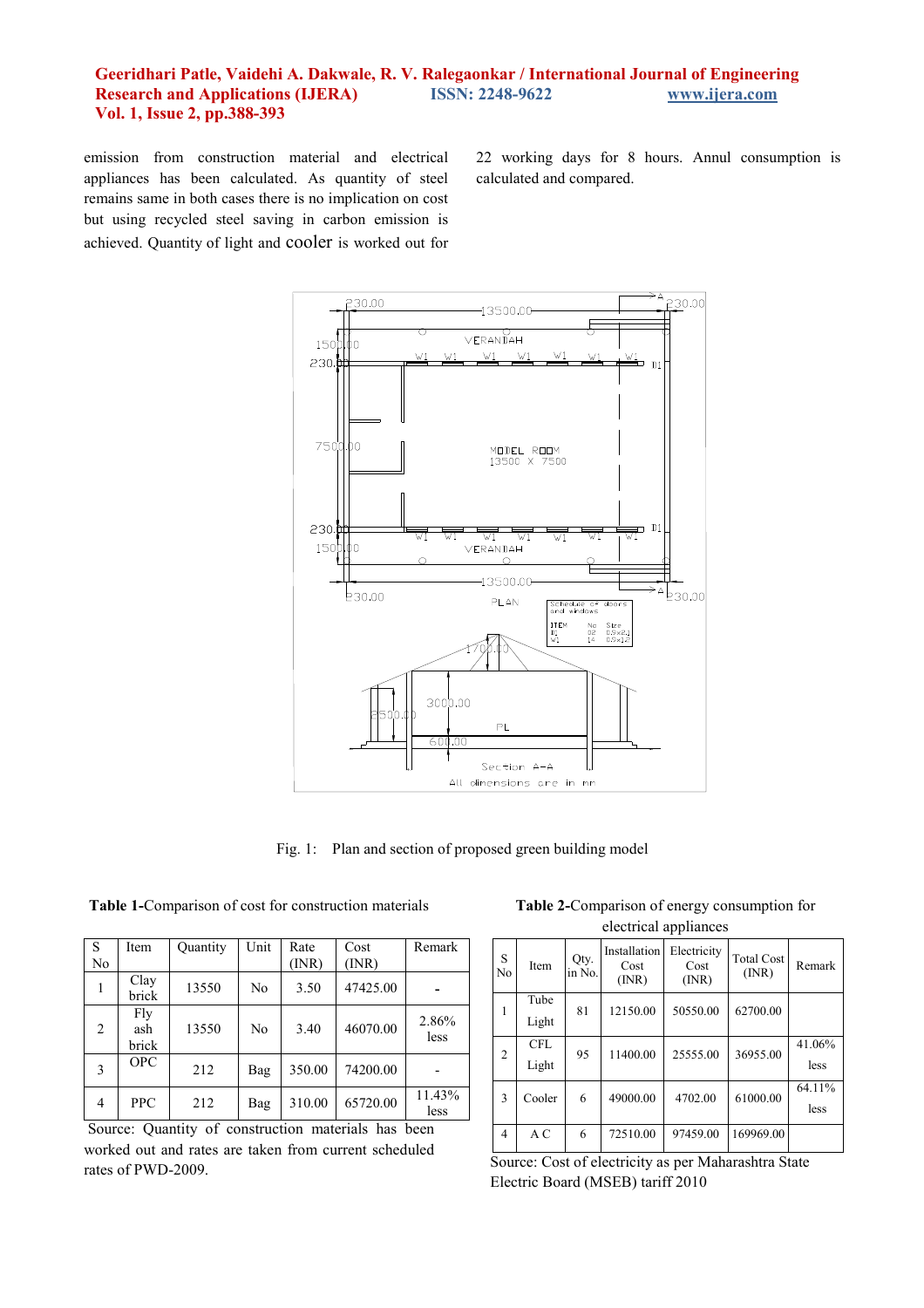### **Geeridhari Patle, Vaidehi A. Dakwale, R. V. Ralegaonkar / International Journal of Engineering Research and Applications (IJERA) ISSN: 2248-9622 www.ijera.com Vol. 1, Issue 2, pp.388-393**

emission from construction material and electrical appliances has been calculated. As quantity of steel remains same in both cases there is no implication on cost but using recycled steel saving in carbon emission is achieved. Quantity of light and cooler is worked out for 22 working days for 8 hours. Annul consumption is calculated and compared.



Fig. 1: Plan and section of proposed green building model

**Table 1-**Comparison of cost for construction materials

| S<br>No        | Item                | Quantity | Unit | Rate<br>(INR) | Cost<br>(INR) | Remark         |
|----------------|---------------------|----------|------|---------------|---------------|----------------|
|                |                     |          |      |               |               |                |
|                | Clay<br>brick       | 13550    | No   | 3.50          | 47425.00      |                |
| $\overline{c}$ | Fly<br>ash<br>brick | 13550    | No   | 3.40          | 46070.00      | 2.86%<br>less  |
| 3              | <b>OPC</b>          | 212      | Bag  | 350.00        | 74200.00      |                |
| 4              | <b>PPC</b>          | 212      | Bag  | 310.00        | 65720.00      | 11.43%<br>less |

 Source: Quantity of construction materials has been worked out and rates are taken from current scheduled rates of PWD-2009.

**Table 2-**Comparison of energy consumption for electrical appliances

| S<br>No        | Item          | Qty.<br>in No. | Installation<br>Cost<br>(INR) | Electricity<br>Cost<br>(INR) | <b>Total Cost</b><br>(NR) | Remark |
|----------------|---------------|----------------|-------------------------------|------------------------------|---------------------------|--------|
| 1              | Tube<br>Light | 81             | 12150.00                      | 50550.00                     | 62700.00                  |        |
|                |               |                |                               |                              |                           |        |
| $\overline{2}$ | <b>CFL</b>    | 95             | 11400.00                      | 25555.00                     | 36955.00                  | 41.06% |
|                | Light         |                |                               |                              |                           | less   |
| 3              | Cooler        | 6              | 49000.00                      | 4702.00                      | 61000.00                  | 64.11% |
|                |               |                |                               |                              |                           | less   |
| 4              | A C           | 6              | 72510.00                      | 97459.00                     | 169969.00                 |        |

Source: Cost of electricity as per Maharashtra State Electric Board (MSEB) tariff 2010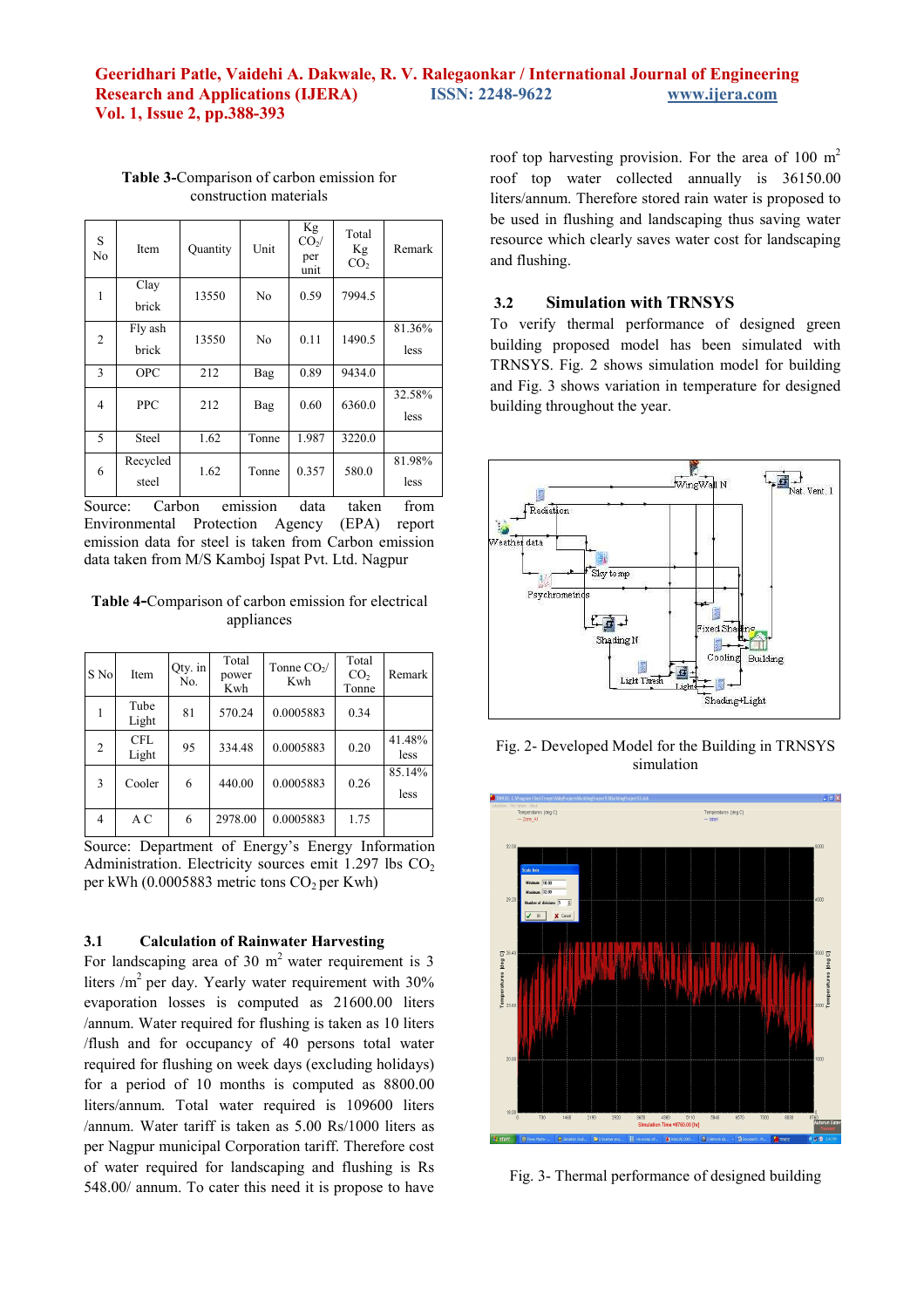| S<br>No | Item              | Quantity | Unit           | Kg<br>$CO2$ /<br>per<br>unit | Total<br>Kg<br>CO <sub>2</sub> | Remark         |
|---------|-------------------|----------|----------------|------------------------------|--------------------------------|----------------|
| 1       | Clay<br>brick     | 13550    | No             | 0.59                         | 7994.5                         |                |
| 2       | Fly ash<br>brick  | 13550    | N <sub>0</sub> | 0.11                         | 1490.5                         | 81.36%<br>less |
| 3       | <b>OPC</b>        | 212      | Bag            | 0.89                         | 9434.0                         |                |
| 4       | <b>PPC</b>        | 212      | Bag            | 0.60                         | 6360.0                         | 32.58%<br>less |
| 5       | Steel             | 1.62     | Tonne          | 1.987                        | 3220.0                         |                |
| 6       | Recycled<br>steel | 1.62     | Tonne          | 0.357                        | 580.0                          | 81.98%<br>less |
| $\sim$  | $\sim$ 1          |          |                | $\mathbf{1}$                 | $\cdot$ 1                      | $\sim$         |

**Table 3-**Comparison of carbon emission for construction materials

Source: Carbon emission data taken from<br>Environmental Protection Agency (EPA) report Environmental Protection Agency emission data for steel is taken from Carbon emission data taken from M/S Kamboj Ispat Pvt. Ltd. Nagpur

**Table 4-**Comparison of carbon emission for electrical appliances

| S No | Item                | Qty. in<br>No. | Total<br>power<br>Kwh | Tonne CO <sub>2</sub> /<br>Kwh | Total<br>CO <sub>2</sub><br>Tonne | Remark         |
|------|---------------------|----------------|-----------------------|--------------------------------|-----------------------------------|----------------|
| 1    | Tube<br>Light       | 81             | 570.24                | 0.0005883                      | 0.34                              |                |
| 2    | <b>CFL</b><br>Light | 95             | 334.48                | 0.0005883                      | 0.20                              | 41.48%<br>less |
| 3    | Cooler              | 6              | 440.00                | 0.0005883                      | 0.26                              | 85.14%<br>less |
| 4    | A C                 | 6              | 2978.00               | 0.0005883                      | 1.75                              |                |

Source: Department of Energy's Energy Information Administration. Electricity sources emit  $1.297$  lbs  $CO<sub>2</sub>$ per kWh  $(0.0005883$  metric tons  $CO<sub>2</sub>$  per Kwh)

#### **3.1 Calculation of Rainwater Harvesting**

For landscaping area of 30  $m<sup>2</sup>$  water requirement is 3 liters  $/m^2$  per day. Yearly water requirement with 30% evaporation losses is computed as 21600.00 liters /annum. Water required for flushing is taken as 10 liters /flush and for occupancy of 40 persons total water required for flushing on week days (excluding holidays) for a period of 10 months is computed as 8800.00 liters/annum. Total water required is 109600 liters /annum. Water tariff is taken as 5.00 Rs/1000 liters as per Nagpur municipal Corporation tariff. Therefore cost of water required for landscaping and flushing is Rs 548.00/ annum. To cater this need it is propose to have

roof top harvesting provision. For the area of 100  $m<sup>2</sup>$ roof top water collected annually is 36150.00 liters/annum. Therefore stored rain water is proposed to be used in flushing and landscaping thus saving water resource which clearly saves water cost for landscaping and flushing.

# **3.2 Simulation with TRNSYS**

To verify thermal performance of designed green building proposed model has been simulated with TRNSYS. Fig. 2 shows simulation model for building and Fig. 3 shows variation in temperature for designed building throughout the year.



Fig. 2- Developed Model for the Building in TRNSYS simulation



Fig. 3- Thermal performance of designed building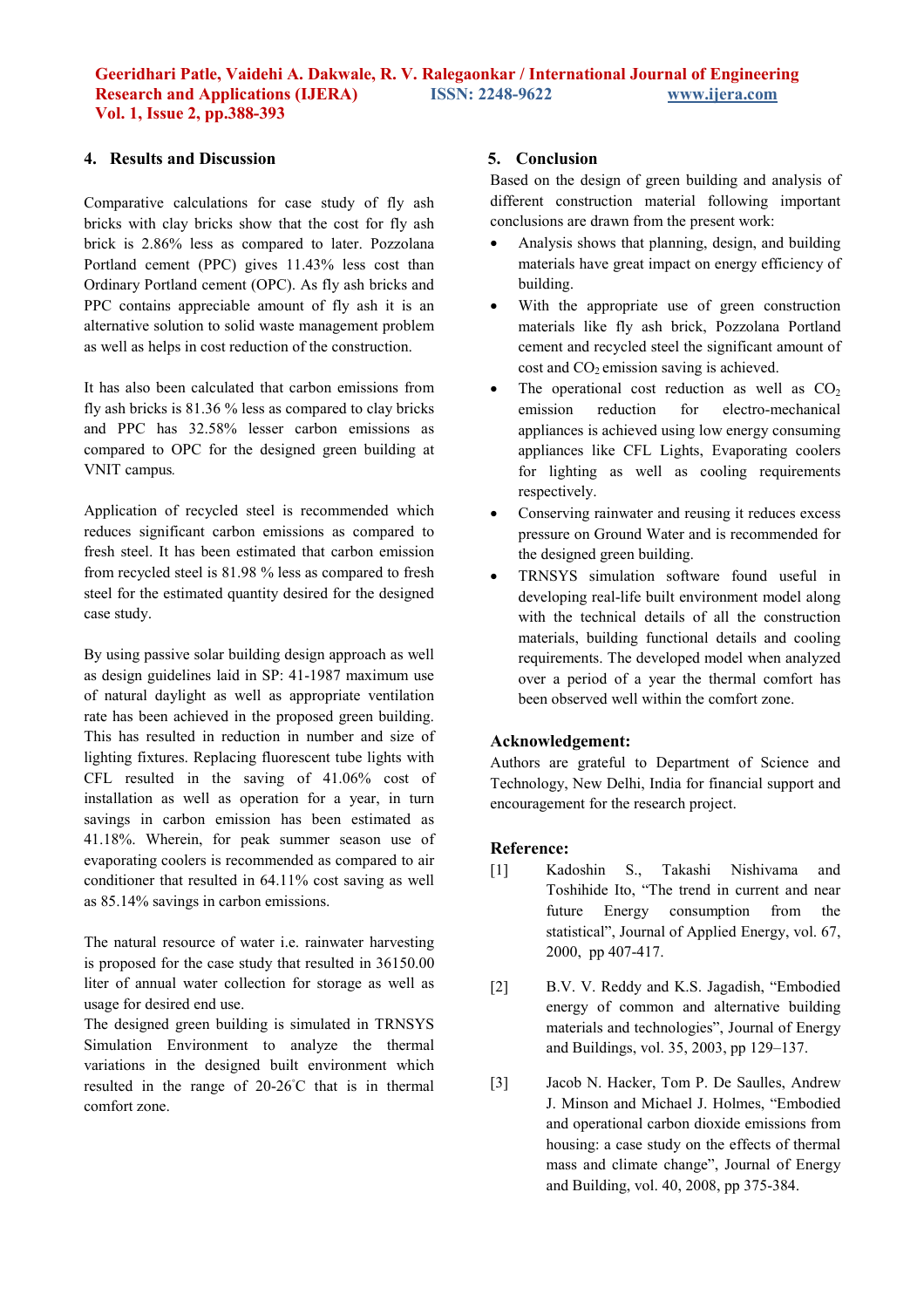## **4. Results and Discussion**

Comparative calculations for case study of fly ash bricks with clay bricks show that the cost for fly ash brick is 2.86% less as compared to later. Pozzolana Portland cement (PPC) gives 11.43% less cost than Ordinary Portland cement (OPC). As fly ash bricks and PPC contains appreciable amount of fly ash it is an alternative solution to solid waste management problem as well as helps in cost reduction of the construction.

It has also been calculated that carbon emissions from fly ash bricks is 81.36 % less as compared to clay bricks and PPC has 32.58% lesser carbon emissions as compared to OPC for the designed green building at VNIT campus*.*

Application of recycled steel is recommended which reduces significant carbon emissions as compared to fresh steel. It has been estimated that carbon emission from recycled steel is 81.98 % less as compared to fresh steel for the estimated quantity desired for the designed case study.

By using passive solar building design approach as well as design guidelines laid in SP: 41-1987 maximum use of natural daylight as well as appropriate ventilation rate has been achieved in the proposed green building. This has resulted in reduction in number and size of lighting fixtures. Replacing fluorescent tube lights with CFL resulted in the saving of 41.06% cost of installation as well as operation for a year, in turn savings in carbon emission has been estimated as 41.18%. Wherein, for peak summer season use of evaporating coolers is recommended as compared to air conditioner that resulted in 64.11% cost saving as well as 85.14% savings in carbon emissions.

The natural resource of water i.e. rainwater harvesting is proposed for the case study that resulted in 36150.00 liter of annual water collection for storage as well as usage for desired end use.

The designed green building is simulated in TRNSYS Simulation Environment to analyze the thermal variations in the designed built environment which resulted in the range of 20-26◦C that is in thermal comfort zone.

## **5. Conclusion**

Based on the design of green building and analysis of different construction material following important conclusions are drawn from the present work:

- Analysis shows that planning, design, and building materials have great impact on energy efficiency of building.
- With the appropriate use of green construction materials like fly ash brick, Pozzolana Portland cement and recycled steel the significant amount of  $\cot$  and  $CO<sub>2</sub>$  emission saving is achieved.
- The operational cost reduction as well as  $CO<sub>2</sub>$ emission reduction for electro-mechanical appliances is achieved using low energy consuming appliances like CFL Lights, Evaporating coolers for lighting as well as cooling requirements respectively.
- Conserving rainwater and reusing it reduces excess pressure on Ground Water and is recommended for the designed green building.
- TRNSYS simulation software found useful in developing real-life built environment model along with the technical details of all the construction materials, building functional details and cooling requirements. The developed model when analyzed over a period of a year the thermal comfort has been observed well within the comfort zone.

#### **Acknowledgement:**

Authors are grateful to Department of Science and Technology, New Delhi, India for financial support and encouragement for the research project.

#### **Reference:**

- [1] Kadoshin S., Takashi Nishivama and Toshihide Ito, "The trend in current and near future Energy consumption from the statistical", Journal of Applied Energy, vol. 67, 2000, pp 407-417.
- [2] B.V. V. Reddy and K.S. Jagadish, "Embodied energy of common and alternative building materials and technologies", Journal of Energy and Buildings, vol. 35, 2003, pp 129–137.
- [3] Jacob N. Hacker, Tom P. De Saulles, Andrew J. Minson and Michael J. Holmes, "Embodied and operational carbon dioxide emissions from housing: a case study on the effects of thermal mass and climate change", Journal of Energy and Building, vol. 40, 2008, pp 375-384.